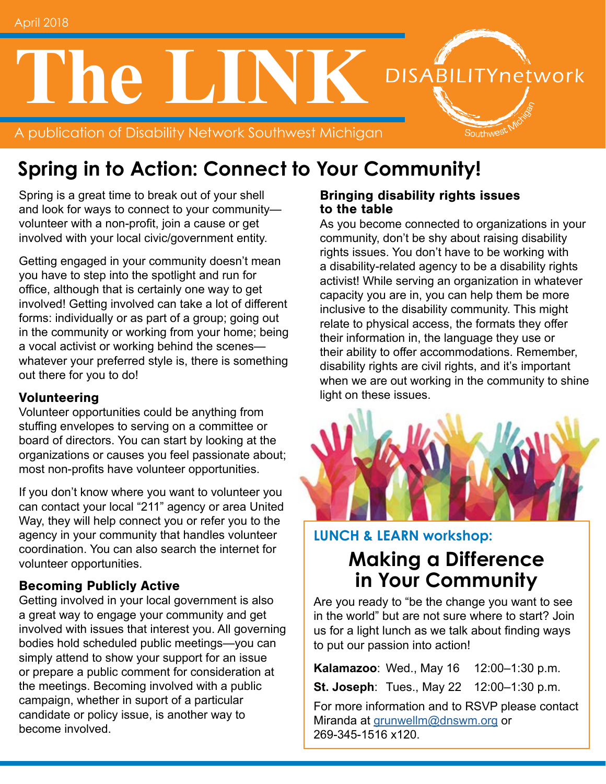# **The LINK** DISABILITYnetwork

A publication of Disability Network Southwest Michigan

# **Spring in to Action: Connect to Your Community!**

Spring is a great time to break out of your shell and look for ways to connect to your community volunteer with a non-profit, join a cause or get involved with your local civic/government entity.

Getting engaged in your community doesn't mean you have to step into the spotlight and run for office, although that is certainly one way to get involved! Getting involved can take a lot of different forms: individually or as part of a group; going out in the community or working from your home; being a vocal activist or working behind the scenes whatever your preferred style is, there is something out there for you to do!

#### Volunteering

Volunteer opportunities could be anything from stuffing envelopes to serving on a committee or board of directors. You can start by looking at the organizations or causes you feel passionate about; most non-profits have volunteer opportunities.

If you don't know where you want to volunteer you can contact your local "211" agency or area United Way, they will help connect you or refer you to the agency in your community that handles volunteer coordination. You can also search the internet for volunteer opportunities.

#### Becoming Publicly Active

Getting involved in your local government is also a great way to engage your community and get involved with issues that interest you. All governing bodies hold scheduled public meetings—you can simply attend to show your support for an issue or prepare a public comment for consideration at the meetings. Becoming involved with a public campaign, whether in suport of a particular candidate or policy issue, is another way to become involved.

#### Bringing disability rights issues to the table

As you become connected to organizations in your community, don't be shy about raising disability rights issues. You don't have to be working with a disability-related agency to be a disability rights activist! While serving an organization in whatever capacity you are in, you can help them be more inclusive to the disability community. This might relate to physical access, the formats they offer their information in, the language they use or their ability to offer accommodations. Remember, disability rights are civil rights, and it's important when we are out working in the community to shine light on these issues.

Southwest



## **LUNCH & LEARN workshop:**

## **Making a Difference in Your Community**

Are you ready to "be the change you want to see in the world" but are not sure where to start? Join us for a light lunch as we talk about finding ways to put our passion into action!

**Kalamazoo: Wed., May 16 12:00-1:30 p.m.** 

**St. Joseph: Tues., May 22 12:00-1:30 p.m.** 

For more information and to RSVP please contact Miranda at [grunwellm@dnswm.org](mailto:grunwellm%40dnswm.org?subject=) or 269-345-1516 x120.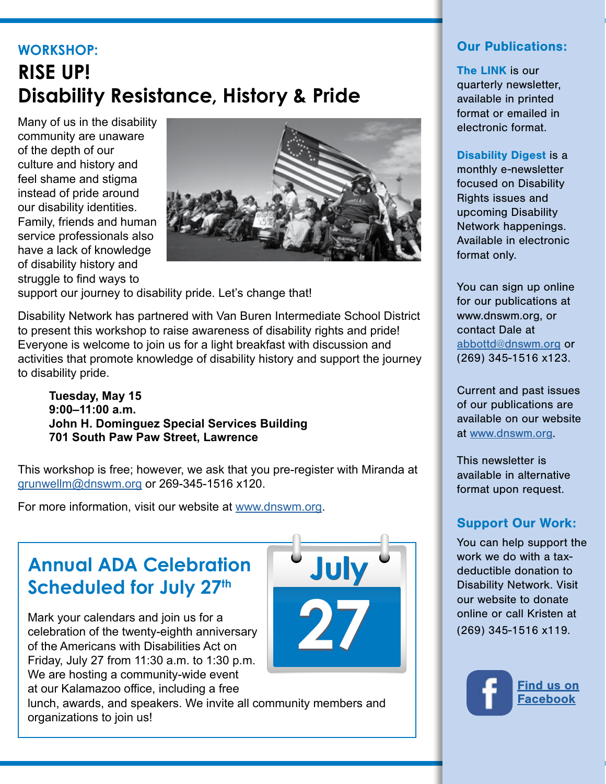# **WORKSHOP: RISE UP! Disability Resistance, History & Pride**

Many of us in the disability community are unaware of the depth of our culture and history and feel shame and stigma instead of pride around our disability identities. Family, friends and human service professionals also have a lack of knowledge of disability history and struggle to find ways to



support our journey to disability pride. Let's change that!

Disability Network has partnered with Van Buren Intermediate School District to present this workshop to raise awareness of disability rights and pride! Everyone is welcome to join us for a light breakfast with discussion and activities that promote knowledge of disability history and support the journey to disability pride.

**Tuesday, May 15 9:00–11:00 a.m. John H. Dominguez Special Services Building 701 South Paw Paw Street, Lawrence**

This workshop is free; however, we ask that you pre-register with Miranda at [grunwellm@dnswm.org](mailto:grunwellm%40dnswm.org?subject=) or 269-345-1516 x120.

For more information, visit our website at [www.dnswm.org](http://www.dnswm.org/rise-up-disability-resistance-history-pride/).

# **Annual ADA Celebration Scheduled for July 27th**

Mark your calendars and join us for a celebration of the twenty-eighth anniversary of the Americans with Disabilities Act on Friday, July 27 from 11:30 a.m. to 1:30 p.m. We are hosting a community-wide event at our Kalamazoo office, including a free

lunch, awards, and speakers. We invite all community members and organizations to join us!



#### Our Publications:

The LINK is our quarterly newsletter, available in printed format or emailed in electronic format.

Disability Digest is a monthly e-newsletter focused on Disability Rights issues and upcoming Disability Network happenings. Available in electronic format only.

You can sign up online for our publications at www.dnswm.org, or contact Dale at [abbottd@dnswm.org](mailto:abbottd%40dnswm.org?subject=) or (269) 345-1516 x123.

Current and past issues of our publications are available on our website at [www.dnswm.org.](http://www.dnswm.org/)

This newsletter is available in alternative format upon request.

#### Support Our Work:

You can help support the work we do with a taxdeductible donation to Disability Network. Visit our website to donate online or call Kristen at (269) 345-1516 x119.

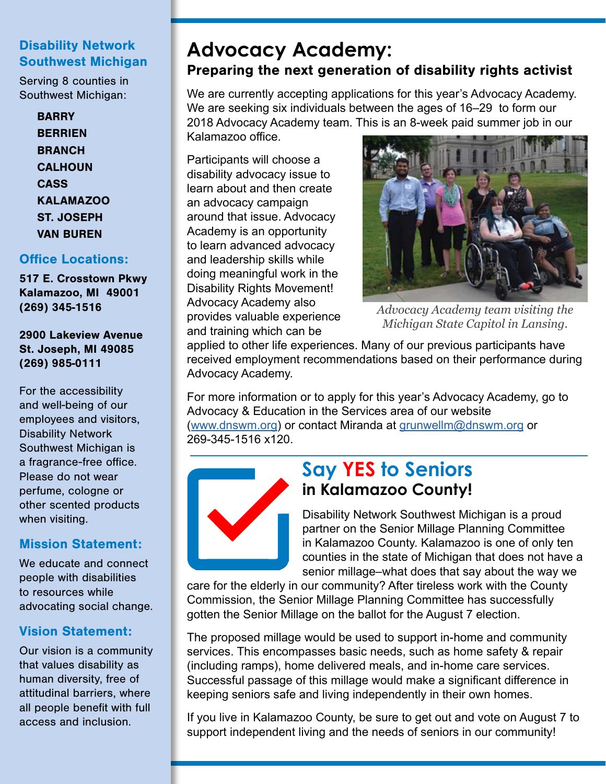#### Disability Network Southwest Michigan

Serving 8 counties in Southwest Michigan:

> **BARRY BERRIEN BRANCH CALHOUN CASS** KALAMAZOO ST. JOSEPH VAN BUREN

#### Office Locations:

517 E. Crosstown Pkwy Kalamazoo, MI 49001 (269) 345-1516

2900 Lakeview Avenue St. Joseph, MI 49085 (269) 985-0111

For the accessibility and well-being of our employees and visitors, Disability Network Southwest Michigan is a fragrance-free office. Please do not wear perfume, cologne or other scented products when visiting.

#### Mission Statement:

We educate and connect people with disabilities to resources while advocating social change.

#### Vision Statement:

Our vision is a community that values disability as human diversity, free of attitudinal barriers, where all people benefit with full access and inclusion.

## **Advocacy Academy:**  Preparing the next generation of disability rights activist

We are currently accepting applications for this year's Advocacy Academy. We are seeking six individuals between the ages of 16–29 to form our 2018 Advocacy Academy team. This is an 8-week paid summer job in our Kalamazoo office.

Participants will choose a disability advocacy issue to learn about and then create an advocacy campaign around that issue. Advocacy Academy is an opportunity to learn advanced advocacy and leadership skills while doing meaningful work in the Disability Rights Movement! Advocacy Academy also provides valuable experience and training which can be



*Advocacy Academy team visiting the Michigan State Capitol in Lansing.*

applied to other life experiences. Many of our previous participants have received employment recommendations based on their performance during Advocacy Academy.

For more information or to apply for this year's Advocacy Academy, go to Advocacy & Education in the Services area of our website ([www.dnswm.org](http://www.dnswm.org/services_menu/advocacy-education/advocacy-academy/)) or contact Miranda at [grunwellm@dnswm.org](mailto:grunwellm%40dnswm.org?subject=) or 269-345-1516 x120.



## **Say YES to Seniors in Kalamazoo County!**

Disability Network Southwest Michigan is a proud partner on the Senior Millage Planning Committee in Kalamazoo County. Kalamazoo is one of only ten counties in the state of Michigan that does not have a senior millage–what does that say about the way we

care for the elderly in our community? After tireless work with the County Commission, the Senior Millage Planning Committee has successfully gotten the Senior Millage on the ballot for the August 7 election.

The proposed millage would be used to support in-home and community services. This encompasses basic needs, such as home safety & repair (including ramps), home delivered meals, and in-home care services. Successful passage of this millage would make a significant difference in keeping seniors safe and living independently in their own homes.

If you live in Kalamazoo County, be sure to get out and vote on August 7 to support independent living and the needs of seniors in our community!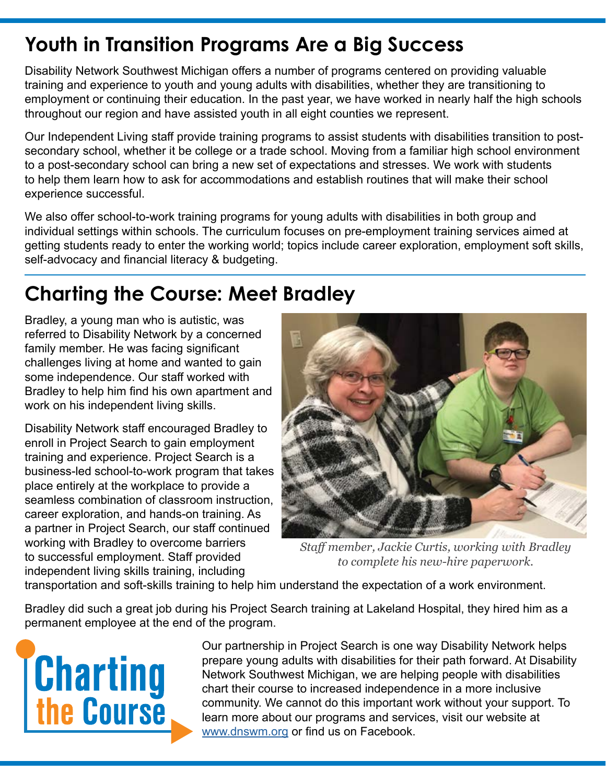# **Youth in Transition Programs Are a Big Success**

Disability Network Southwest Michigan offers a number of programs centered on providing valuable training and experience to youth and young adults with disabilities, whether they are transitioning to employment or continuing their education. In the past year, we have worked in nearly half the high schools throughout our region and have assisted youth in all eight counties we represent.

Our Independent Living staff provide training programs to assist students with disabilities transition to postsecondary school, whether it be college or a trade school. Moving from a familiar high school environment to a post-secondary school can bring a new set of expectations and stresses. We work with students to help them learn how to ask for accommodations and establish routines that will make their school experience successful.

We also offer school-to-work training programs for young adults with disabilities in both group and individual settings within schools. The curriculum focuses on pre-employment training services aimed at getting students ready to enter the working world; topics include career exploration, employment soft skills, self-advocacy and financial literacy & budgeting.

# **Charting the Course: Meet Bradley**

Bradley, a young man who is autistic, was referred to Disability Network by a concerned family member. He was facing significant challenges living at home and wanted to gain some independence. Our staff worked with Bradley to help him find his own apartment and work on his independent living skills.

Disability Network staff encouraged Bradley to enroll in Project Search to gain employment training and experience. Project Search is a business-led school-to-work program that takes place entirely at the workplace to provide a seamless combination of classroom instruction, career exploration, and hands-on training. As a partner in Project Search, our staff continued working with Bradley to overcome barriers to successful employment. Staff provided independent living skills training, including



*Staff member, Jackie Curtis, working with Bradley to complete his new-hire paperwork.*

transportation and soft-skills training to help him understand the expectation of a work environment.

Bradley did such a great job during his Project Search training at Lakeland Hospital, they hired him as a permanent employee at the end of the program.



Our partnership in Project Search is one way Disability Network helps prepare young adults with disabilities for their path forward. At Disability Network Southwest Michigan, we are helping people with disabilities chart their course to increased independence in a more inclusive community. We cannot do this important work without your support. To learn more about our programs and services, visit our website at [www.dnswm.org](http://www.dnswm.org/about-us/our-stories/) or find us on Facebook.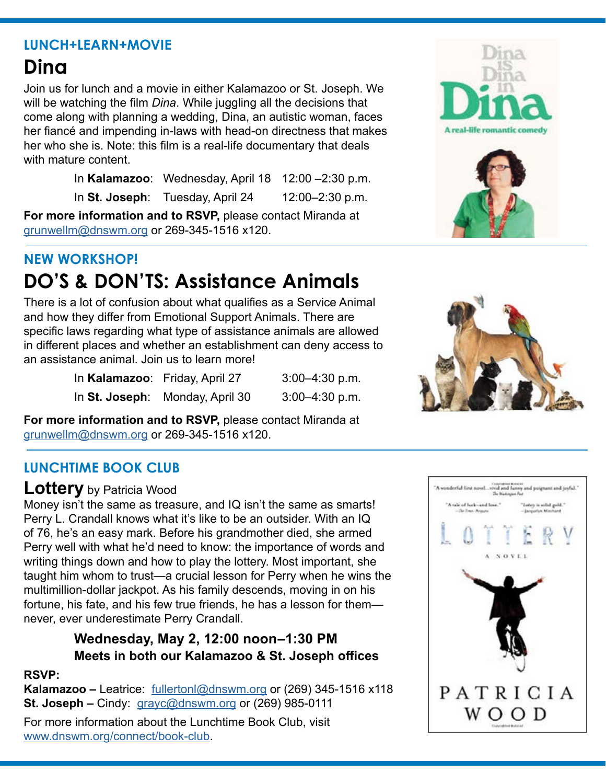#### **LUNCH+LEARN+MOVIE**

# **Dina**

Join us for lunch and a movie in either Kalamazoo or St. Joseph. We will be watching the film *Dina*. While juggling all the decisions that come along with planning a wedding, Dina, an autistic woman, faces her fiancé and impending in-laws with head-on directness that makes her who she is. Note: this film is a real-life documentary that deals with mature content.

> In **Kalamazoo**: Wednesday, April 18 12:00 –2:30 p.m. In **St. Joseph**: Tuesday, April 24 12:00–2:30 p.m.

**For more information and to RSVP,** please contact Miranda at [grunwellm@dnswm.org](mailto:grunwellm%40dnswm.org?subject=) or 269-345-1516 x120.

## **NEW WORKSHOP! DO'S & DON'TS: Assistance Animals**

There is a lot of confusion about what qualifies as a Service Animal and how they differ from Emotional Support Animals. There are specific laws regarding what type of assistance animals are allowed in different places and whether an establishment can deny access to an assistance animal. Join us to learn more!

| In Kalamazoo: Friday, April 27 |                                 | $3:00-4:30$ p.m. |
|--------------------------------|---------------------------------|------------------|
|                                | In St. Joseph: Monday, April 30 | $3:00-4:30$ p.m. |

**For more information and to RSVP,** please contact Miranda at [grunwellm@dnswm.org](mailto:grunwellm%40dnswm.org?subject=) or 269-345-1516 x120.

### **LUNCHTIME BOOK CLUB**

#### **Lottery** by Patricia Wood

Money isn't the same as treasure, and IQ isn't the same as smarts! Perry L. Crandall knows what it's like to be an outsider. With an IQ of 76, he's an easy mark. Before his grandmother died, she armed Perry well with what he'd need to know: the importance of words and writing things down and how to play the lottery. Most important, she taught him whom to trust—a crucial lesson for Perry when he wins the multimillion-dollar jackpot. As his family descends, moving in on his fortune, his fate, and his few true friends, he has a lesson for them never, ever underestimate Perry Crandall.

## **Wednesday, May 2, 12:00 noon–1:30 PM Meets in both our Kalamazoo & St. Joseph offices**

#### **RSVP:**

**Kalamazoo –** Leatrice: [fullertonl@dnswm.org](mailto:fullertonl%40dnswm.org?subject=) or (269) 345-1516 x118 **St. Joseph –** Cindy: [grayc@dnswm.org](mailto:grayc%40dnswm.org?subject=) or (269) 985-0111

For more information about the Lunchtime Book Club, visit [www.dnswm.org/connect/book-club](http://www.dnswm.org/connect/book-club/).